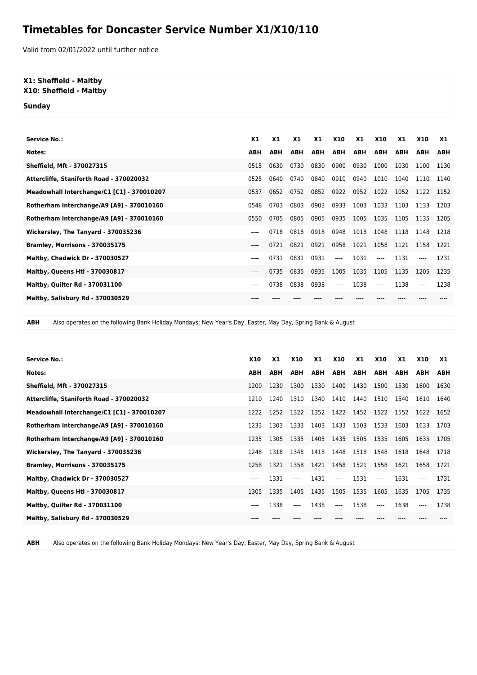## **Timetables for Doncaster Service Number X1/X10/110**

Valid from 02/01/2022 until further notice

## **X1: Sheffield - Maltby X10: Sheffield - Maltby**

**Sunday**

| <b>Service No.:</b>                        | <b>X1</b>  | <b>X1</b>  | X1         | X1   | <b>X10</b> | X1         | <b>X10</b> | X1         | <b>X10</b> | X1         |
|--------------------------------------------|------------|------------|------------|------|------------|------------|------------|------------|------------|------------|
| Notes:                                     | <b>ABH</b> | <b>ABH</b> | <b>ABH</b> | ABH  | ABH        | <b>ABH</b> | ABH        | <b>ABH</b> | <b>ABH</b> | <b>ABH</b> |
| Sheffield, Mft - 370027315                 | 0515       | 0630       | 0730       | 0830 | 0900       | 0930       | 1000       | 1030       | 1100       | 1130       |
| Attercliffe, Staniforth Road - 370020032   | 0525       | 0640       | 0740       | 0840 | 0910       | 0940       | 1010       | 1040       | 1110       | 1140       |
| Meadowhall Interchange/C1 [C1] - 370010207 | 0537       | 0652       | 0752       | 0852 | 0922       | 0952       | 1022       | 1052       | 1122       | 1152       |
| Rotherham Interchange/A9 [A9] - 370010160  | 0548       | 0703       | 0803       | 0903 | 0933       | 1003       | 1033       | 1103       | 1133       | 1203       |
| Rotherham Interchange/A9 [A9] - 370010160  | 0550       | 0705       | 0805       | 0905 | 0935       | 1005       | 1035       | 1105       | 1135       | 1205       |
| Wickersley, The Tanyard - 370035236        | $---$      | 0718       | 0818       | 0918 | 0948       | 1018       | 1048       | 1118       | 1148       | 1218       |
| Bramley, Morrisons - 370035175             | $---$      | 0721       | 0821       | 0921 | 0958       | 1021       | 1058       | 1121       | 1158       | 1221       |
| <b>Maltby, Chadwick Dr - 370030527</b>     | $---$      | 0731       | 0831       | 0931 | $---$      | 1031       | $---$      | 1131       |            | 1231       |
| <b>Maltby, Queens Htl - 370030817</b>      | $---$      | 0735       | 0835       | 0935 | 1005       | 1035       | 1105       | 1135       | 1205       | 1235       |
| <b>Maltby, Quilter Rd - 370031100</b>      | $---$      | 0738       | 0838       | 0938 | $---$      | 1038       | ----       | 1138       | ----       | 1238       |
| Maltby, Salisbury Rd - 370030529           |            |            |            |      |            |            |            |            |            |            |

**ABH** Also operates on the following Bank Holiday Mondays: New Year's Day, Easter, May Day, Spring Bank & August

| <b>Service No.:</b>                        | <b>X10</b> | X1   | <b>X10</b> | X1   | <b>X10</b>               | X1             | <b>X10</b> | X1   | <b>X10</b> | X1         |
|--------------------------------------------|------------|------|------------|------|--------------------------|----------------|------------|------|------------|------------|
| Notes:                                     | ABH        | ABH  | ABH        |      | ABH ABH ABH              |                | ABH        | ABH  | ABH        | <b>ABH</b> |
| Sheffield, Mft - 370027315                 | 1200       | 1230 | 1300       | 1330 | 1400                     | 1430           | 1500       | 1530 | 1600       | 1630       |
| Attercliffe, Staniforth Road - 370020032   | 1210       | 1240 | 1310       | 1340 | 1410                     | 1440           | 1510       | 1540 | 1610       | 1640       |
| Meadowhall Interchange/C1 [C1] - 370010207 | 1222       | 1252 | 1322       | 1352 |                          | 1422 1452 1522 |            | 1552 | 1622       | 1652       |
| Rotherham Interchange/A9 [A9] - 370010160  | 1233       | 1303 | 1333       | 1403 | 1433 1503                |                | 1533       | 1603 | 1633       | 1703       |
| Rotherham Interchange/A9 [A9] - 370010160  | 1235       | 1305 | 1335       | 1405 | 1435 1505                |                | 1535       | 1605 | 1635       | 1705       |
| Wickersley, The Tanyard - 370035236        | 1248       | 1318 | 1348       | 1418 | 1448 1518                |                | 1548       | 1618 | 1648       | 1718       |
| Bramley, Morrisons - 370035175             | 1258       | 1321 | 1358       | 1421 | 1458 1521                |                | 1558       | 1621 | 1658       | 1721       |
| Maltby, Chadwick Dr - 370030527            | ----       | 1331 | $---$      | 1431 | $\overline{\phantom{a}}$ | 1531           | $---$      | 1631 |            | 1731       |
| <b>Maltby, Queens Htl - 370030817</b>      | 1305       | 1335 | 1405       | 1435 | 1505                     | 1535           | 1605       | 1635 | 1705       | 1735       |
| <b>Maltby, Quilter Rd - 370031100</b>      | $- - - -$  | 1338 | $---$      | 1438 | $---$                    | 1538           | $---$      | 1638 |            | 1738       |
| Maltby, Salisbury Rd - 370030529           |            |      |            |      |                          |                |            |      |            |            |

**ABH** Also operates on the following Bank Holiday Mondays: New Year's Day, Easter, May Day, Spring Bank & August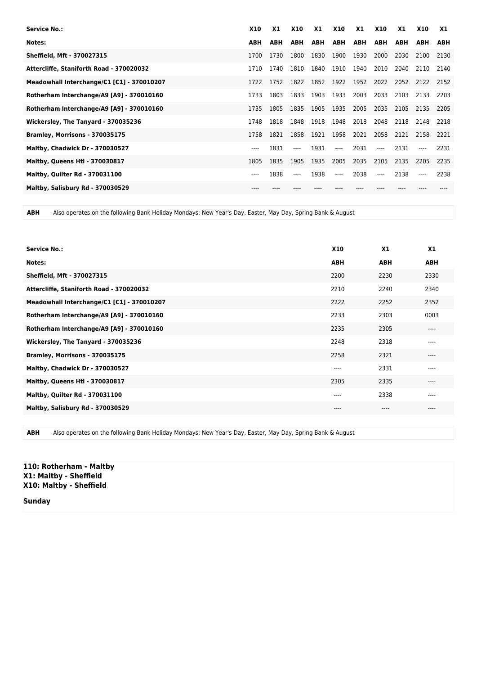| <b>Service No.:</b>                        | <b>X10</b> | X1         | <b>X10</b> | X1   | <b>X10</b> | <b>X1</b> | <b>X10</b> | X1   | <b>X10</b> | X1         |
|--------------------------------------------|------------|------------|------------|------|------------|-----------|------------|------|------------|------------|
| Notes:                                     | <b>ABH</b> | <b>ABH</b> | ABH        | ABH  | ABH        | ABH       | <b>ABH</b> | ABH  | ABH        | <b>ABH</b> |
| Sheffield, Mft - 370027315                 | 1700       | 1730       | 1800       | 1830 | 1900       | 1930      | 2000       | 2030 | 2100       | 2130       |
| Attercliffe, Staniforth Road - 370020032   | 1710       | 1740       | 1810       | 1840 | 1910       | 1940      | 2010       | 2040 | 2110       | 2140       |
| Meadowhall Interchange/C1 [C1] - 370010207 | 1722       | 1752       | 1822       | 1852 |            | 1922 1952 | 2022       | 2052 | 2122       | 2152       |
| Rotherham Interchange/A9 [A9] - 370010160  | 1733       | 1803       | 1833       | 1903 | 1933       | 2003      | 2033       | 2103 | 2133       | 2203       |
| Rotherham Interchange/A9 [A9] - 370010160  | 1735       | 1805       | 1835       | 1905 | 1935       | 2005      | 2035       | 2105 | 2135       | 2205       |
| Wickersley, The Tanyard - 370035236        | 1748       | 1818       | 1848       | 1918 | 1948 2018  |           | 2048       | 2118 | 2148       | 2218       |
| Bramley, Morrisons - 370035175             | 1758       | 1821       | 1858       | 1921 | 1958       | 2021      | 2058       | 2121 | 2158       | 2221       |
| <b>Maltby, Chadwick Dr - 370030527</b>     | ----       | 1831       | $---$      | 1931 | $---$      | 2031      | $---$      | 2131 |            | 2231       |
| <b>Maltby, Queens Htl - 370030817</b>      | 1805       | 1835       | 1905       | 1935 | 2005       | 2035      | 2105       | 2135 | 2205       | 2235       |
| <b>Maltby, Quilter Rd - 370031100</b>      | ----       | 1838       | $---$      | 1938 | $---$      | 2038      | $---$      | 2138 | $---$      | 2238       |
| Maltby, Salisbury Rd - 370030529           |            |            |            |      |            |           |            |      |            |            |

**ABH** Also operates on the following Bank Holiday Mondays: New Year's Day, Easter, May Day, Spring Bank & August

| <b>Service No.:</b>                        | <b>X10</b> | X1         | X <sub>1</sub> |
|--------------------------------------------|------------|------------|----------------|
| Notes:                                     | <b>ABH</b> | <b>ABH</b> | <b>ABH</b>     |
| Sheffield, Mft - 370027315                 | 2200       | 2230       | 2330           |
| Attercliffe, Staniforth Road - 370020032   | 2210       | 2240       | 2340           |
| Meadowhall Interchange/C1 [C1] - 370010207 | 2222       | 2252       | 2352           |
| Rotherham Interchange/A9 [A9] - 370010160  | 2233       | 2303       | 0003           |
| Rotherham Interchange/A9 [A9] - 370010160  | 2235       | 2305       | $---$          |
| Wickersley, The Tanyard - 370035236        | 2248       | 2318       | $---$          |
| Bramley, Morrisons - 370035175             | 2258       | 2321       | $---$          |
| Maltby, Chadwick Dr - 370030527            | $---$      | 2331       | ----           |
| <b>Maltby, Queens Htl - 370030817</b>      | 2305       | 2335       | $---$          |
| <b>Maltby, Quilter Rd - 370031100</b>      | $-- -$     | 2338       | $---$          |
| Maltby, Salisbury Rd - 370030529           | $---$      | ----       | $---$          |
|                                            |            |            |                |

**ABH** Also operates on the following Bank Holiday Mondays: New Year's Day, Easter, May Day, Spring Bank & August

**110: Rotherham - Maltby X1: Maltby - Sheffield X10: Maltby - Sheffield**

**Sunday**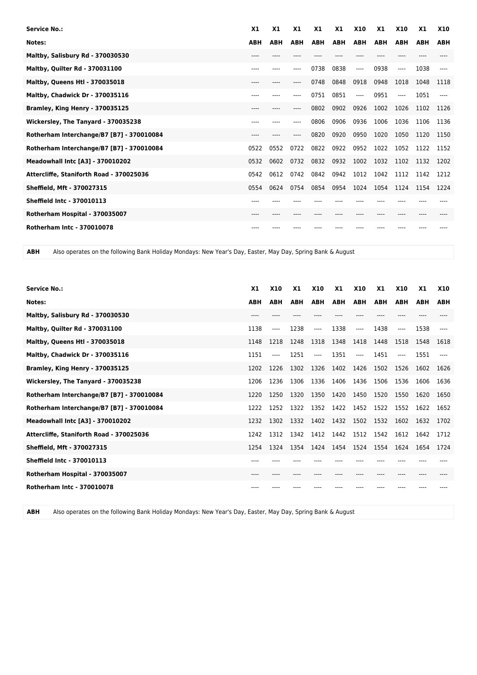| <b>Service No.:</b>                       | X1         | X1         | X1         | X <sub>1</sub> | X1         | <b>X10</b> | X1         | <b>X10</b> | X1         | <b>X10</b> |
|-------------------------------------------|------------|------------|------------|----------------|------------|------------|------------|------------|------------|------------|
| Notes:                                    | <b>ABH</b> | <b>ABH</b> | <b>ABH</b> | <b>ABH</b>     | <b>ABH</b> | <b>ABH</b> | <b>ABH</b> | <b>ABH</b> | <b>ABH</b> | <b>ABH</b> |
| Maltby, Salisbury Rd - 370030530          | ----       |            |            |                |            |            |            |            |            |            |
| Maltby, Quilter Rd - 370031100            | ----       |            |            | 0738           | 0838       | $---$      | 0938       | $---$      | 1038       |            |
| <b>Maltby, Queens Htl - 370035018</b>     | ----       | ----       | ----       | 0748           | 0848       | 0918       | 0948       | 1018       | 1048       | 1118       |
| Maltby, Chadwick Dr - 370035116           | ----       |            |            | 0751           | 0851       | $---$      | 0951       | $---$      | 1051       |            |
| Bramley, King Henry - 370035125           | ----       |            |            | 0802           | 0902       | 0926       | 1002       | 1026       | 1102       | 1126       |
| Wickersley, The Tanyard - 370035238       | ----       | ----       | ----       | 0806           | 0906       | 0936       | 1006       | 1036       | 1106       | 1136       |
| Rotherham Interchange/B7 [B7] - 370010084 | ----       |            |            | 0820           | 0920       | 0950       | 1020       | 1050       | 1120       | 1150       |
| Rotherham Interchange/B7 [B7] - 370010084 | 0522       | 0552       | 0722       | 0822           | 0922       | 0952       | 1022       | 1052       | 1122       | 1152       |
| <b>Meadowhall Intc [A3] - 370010202</b>   | 0532       | 0602       | 0732       | 0832           | 0932       | 1002       | 1032       | 1102       | 1132       | 1202       |
| Attercliffe, Staniforth Road - 370025036  | 0542       | 0612       | 0742       | 0842           | 0942       | 1012       | 1042       | 1112       | 1142       | 1212       |
| Sheffield, Mft - 370027315                | 0554       | 0624       | 0754       | 0854           | 0954       | 1024       | 1054       | 1124       | 1154       | 1224       |
| <b>Sheffield Intc - 370010113</b>         | ----       |            |            |                |            |            |            |            |            |            |
| Rotherham Hospital - 370035007            | ----       |            |            |                |            |            |            |            |            |            |
| <b>Rotherham Intc - 370010078</b>         |            |            |            |                |            |            |            |            |            |            |

**ABH** Also operates on the following Bank Holiday Mondays: New Year's Day, Easter, May Day, Spring Bank & August

| <b>Service No.:</b>                       | X <sub>1</sub> | <b>X10</b> | X1         | <b>X10</b> | <b>X1</b>  | <b>X10</b>     | X <sub>1</sub> | <b>X10</b> | X <sub>1</sub> | <b>X10</b> |
|-------------------------------------------|----------------|------------|------------|------------|------------|----------------|----------------|------------|----------------|------------|
| Notes:                                    | <b>ABH</b>     | <b>ABH</b> | <b>ABH</b> | <b>ABH</b> | <b>ABH</b> | <b>ABH</b>     | <b>ABH</b>     | <b>ABH</b> | <b>ABH</b>     | <b>ABH</b> |
| Maltby, Salisbury Rd - 370030530          | ----           |            |            |            |            |                |                |            |                |            |
| <b>Maltby, Quilter Rd - 370031100</b>     | 1138           | ----       | 1238       | ----       | 1338       | $---$          | 1438           | ----       | 1538           |            |
| Maltby, Queens Htl - 370035018            | 1148           | 1218       | 1248       | 1318       | 1348       | 1418           | 1448           | 1518       | 1548           | 1618       |
| Maltby, Chadwick Dr - 370035116           | 1151           | ----       | 1251       | ----       | 1351       | $---$          | 1451           | ----       | 1551           |            |
| Bramley, King Henry - 370035125           | 1202           | 1226       | 1302       | 1326       | 1402       | 1426           | 1502           | 1526       | 1602           | 1626       |
| Wickersley, The Tanyard - 370035238       | 1206           | 1236       | 1306       | 1336       | 1406       | 1436           | 1506           | 1536       | 1606           | 1636       |
| Rotherham Interchange/B7 [B7] - 370010084 | 1220           | 1250       | 1320       | 1350       | 1420       | 1450           | 1520           | 1550       | 1620           | 1650       |
| Rotherham Interchange/B7 [B7] - 370010084 | 1222           | 1252       | 1322       | 1352       | 1422       | 1452           | 1522           | 1552       | 1622           | 1652       |
| Meadowhall Intc [A3] - 370010202          | 1232           | 1302       | 1332       | 1402       | 1432       | 1502           | 1532           | 1602       | 1632           | 1702       |
| Attercliffe, Staniforth Road - 370025036  | 1242           | 1312       | 1342       | 1412       | 1442       | 1512           | 1542           | 1612       | 1642           | 1712       |
| Sheffield, Mft - 370027315                | 1254           | 1324       | 1354       | 1424       |            | 1454 1524 1554 |                | 1624       | 1654           | 1724       |
| <b>Sheffield Intc - 370010113</b>         | ----           |            |            |            |            |                |                |            |                |            |
| Rotherham Hospital - 370035007            | ----           |            |            |            |            |                |                |            |                |            |
| <b>Rotherham Intc - 370010078</b>         |                |            |            |            |            |                |                |            |                |            |

**ABH** Also operates on the following Bank Holiday Mondays: New Year's Day, Easter, May Day, Spring Bank & August